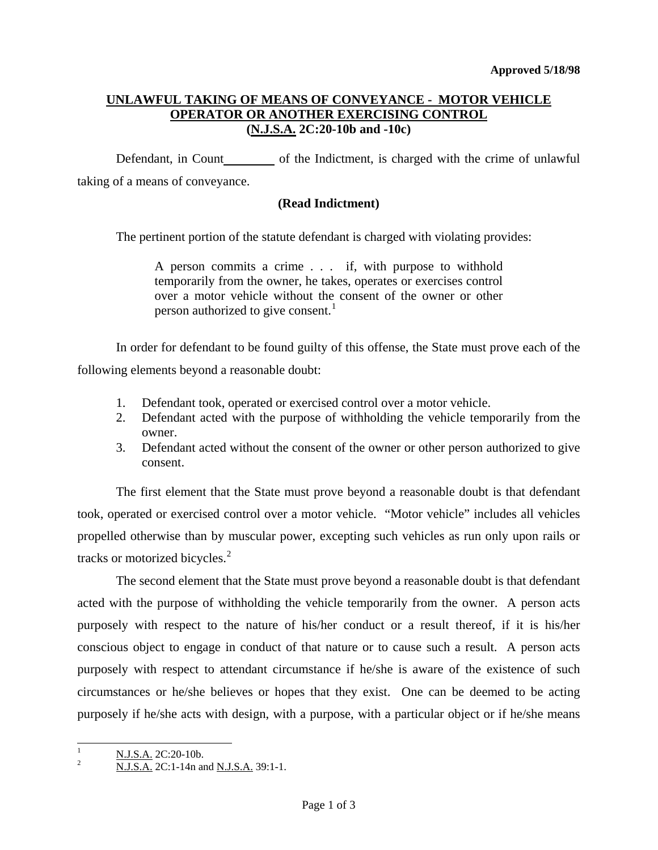# **UNLAWFUL TAKING OF MEANS OF CONVEYANCE - MOTOR VEHICLE OPERATOR OR ANOTHER EXERCISING CONTROL (N.J.S.A. 2C:20-10b and -10c)**

Defendant, in Count\_\_\_\_\_\_\_\_\_ of the Indictment, is charged with the crime of unlawful taking of a means of conveyance.

# **(Read Indictment)**

The pertinent portion of the statute defendant is charged with violating provides:

A person commits a crime . . . if, with purpose to withhold temporarily from the owner, he takes, operates or exercises control over a motor vehicle without the consent of the owner or other person authorized to give consent.<sup>[1](#page-0-0)</sup>

In order for defendant to be found guilty of this offense, the State must prove each of the following elements beyond a reasonable doubt:

- 1. Defendant took, operated or exercised control over a motor vehicle.
- 2. Defendant acted with the purpose of withholding the vehicle temporarily from the owner.
- 3. Defendant acted without the consent of the owner or other person authorized to give consent.

 The first element that the State must prove beyond a reasonable doubt is that defendant took, operated or exercised control over a motor vehicle. "Motor vehicle" includes all vehicles propelled otherwise than by muscular power, excepting such vehicles as run only upon rails or tracks or motorized bicycles.<sup>[2](#page-0-1)</sup>

 The second element that the State must prove beyond a reasonable doubt is that defendant acted with the purpose of withholding the vehicle temporarily from the owner. A person acts purposely with respect to the nature of his/her conduct or a result thereof, if it is his/her conscious object to engage in conduct of that nature or to cause such a result. A person acts purposely with respect to attendant circumstance if he/she is aware of the existence of such circumstances or he/she believes or hopes that they exist. One can be deemed to be acting purposely if he/she acts with design, with a purpose, with a particular object or if he/she means

<span id="page-0-0"></span> $\mathbf{1}$ 

<span id="page-0-1"></span> $\frac{N. J.S.A.}{N. J.S.A.}$  2C:20-10b.<br><sup>2</sup> N.J.S.A. 2C:1-14n and <u>N.J.S.A.</u> 39:1-1.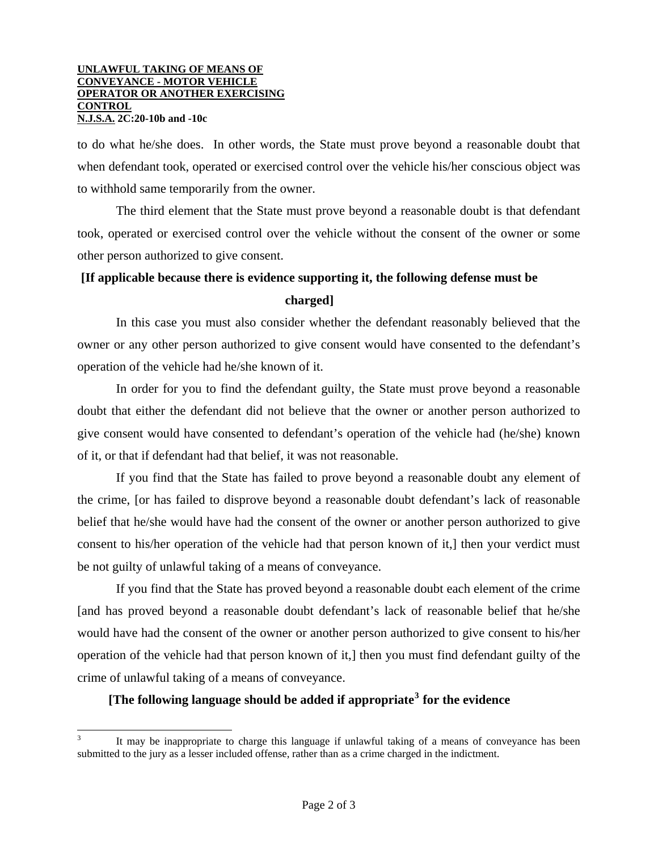#### **UNLAWFUL TAKING OF MEANS OF CONVEYANCE - MOTOR VEHICLE OPERATOR OR ANOTHER EXERCISING CONTROL N.J.S.A. 2C:20-10b and -10c**

 $\overline{\phantom{a}}$ 

to do what he/she does. In other words, the State must prove beyond a reasonable doubt that when defendant took, operated or exercised control over the vehicle his/her conscious object was to withhold same temporarily from the owner.

 The third element that the State must prove beyond a reasonable doubt is that defendant took, operated or exercised control over the vehicle without the consent of the owner or some other person authorized to give consent.

## **[If applicable because there is evidence supporting it, the following defense must be**

## **charged]**

 In this case you must also consider whether the defendant reasonably believed that the owner or any other person authorized to give consent would have consented to the defendant's operation of the vehicle had he/she known of it.

 In order for you to find the defendant guilty, the State must prove beyond a reasonable doubt that either the defendant did not believe that the owner or another person authorized to give consent would have consented to defendant's operation of the vehicle had (he/she) known of it, or that if defendant had that belief, it was not reasonable.

 If you find that the State has failed to prove beyond a reasonable doubt any element of the crime, [or has failed to disprove beyond a reasonable doubt defendant's lack of reasonable belief that he/she would have had the consent of the owner or another person authorized to give consent to his/her operation of the vehicle had that person known of it,] then your verdict must be not guilty of unlawful taking of a means of conveyance.

 If you find that the State has proved beyond a reasonable doubt each element of the crime [and has proved beyond a reasonable doubt defendant's lack of reasonable belief that he/she would have had the consent of the owner or another person authorized to give consent to his/her operation of the vehicle had that person known of it,] then you must find defendant guilty of the crime of unlawful taking of a means of conveyance.

# **[The following language should be added if appropriate[3](#page-1-0) for the evidence**

<span id="page-1-0"></span><sup>3</sup> It may be inappropriate to charge this language if unlawful taking of a means of conveyance has been submitted to the jury as a lesser included offense, rather than as a crime charged in the indictment.